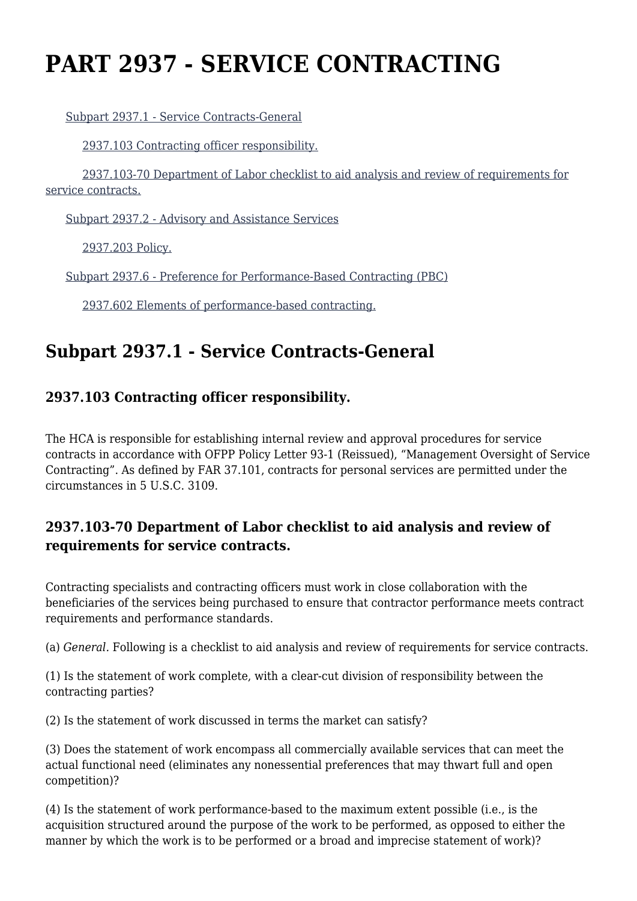# **PART 2937 - SERVICE CONTRACTING**

[Subpart 2937.1 - Service Contracts-General](https://www.acquisition.gov/%5Brp:link:dolar-part-2937%5D#Subpart_2937_1_T48_7015331)

[2937.103 Contracting officer responsibility.](https://www.acquisition.gov/%5Brp:link:dolar-part-2937%5D#Section_2937_103_T48_701533111)

 [2937.103-70 Department of Labor checklist to aid analysis and review of requirements for](https://www.acquisition.gov/%5Brp:link:dolar-part-2937%5D#Section_2937_103_70_T48_701533112) [service contracts.](https://www.acquisition.gov/%5Brp:link:dolar-part-2937%5D#Section_2937_103_70_T48_701533112)

[Subpart 2937.2 - Advisory and Assistance Services](https://www.acquisition.gov/%5Brp:link:dolar-part-2937%5D#Subpart_2937_2_T48_7015332)

[2937.203 Policy.](https://www.acquisition.gov/%5Brp:link:dolar-part-2937%5D#Section_2937_203_T48_701533211)

[Subpart 2937.6 - Preference for Performance-Based Contracting \(PBC\)](https://www.acquisition.gov/%5Brp:link:dolar-part-2937%5D#Subpart_2937_6_T48_7015333)

[2937.602 Elements of performance-based contracting.](https://www.acquisition.gov/%5Brp:link:dolar-part-2937%5D#Section_2937_602_T48_701533311)

## **Subpart 2937.1 - Service Contracts-General**

### **2937.103 Contracting officer responsibility.**

The HCA is responsible for establishing internal review and approval procedures for service contracts in accordance with OFPP Policy Letter 93-1 (Reissued), "Management Oversight of Service Contracting". As defined by FAR 37.101, contracts for personal services are permitted under the circumstances in 5 U.S.C. 3109.

#### **2937.103-70 Department of Labor checklist to aid analysis and review of requirements for service contracts.**

Contracting specialists and contracting officers must work in close collaboration with the beneficiaries of the services being purchased to ensure that contractor performance meets contract requirements and performance standards.

(a) *General.* Following is a checklist to aid analysis and review of requirements for service contracts.

(1) Is the statement of work complete, with a clear-cut division of responsibility between the contracting parties?

(2) Is the statement of work discussed in terms the market can satisfy?

(3) Does the statement of work encompass all commercially available services that can meet the actual functional need (eliminates any nonessential preferences that may thwart full and open competition)?

(4) Is the statement of work performance-based to the maximum extent possible (i.e., is the acquisition structured around the purpose of the work to be performed, as opposed to either the manner by which the work is to be performed or a broad and imprecise statement of work)?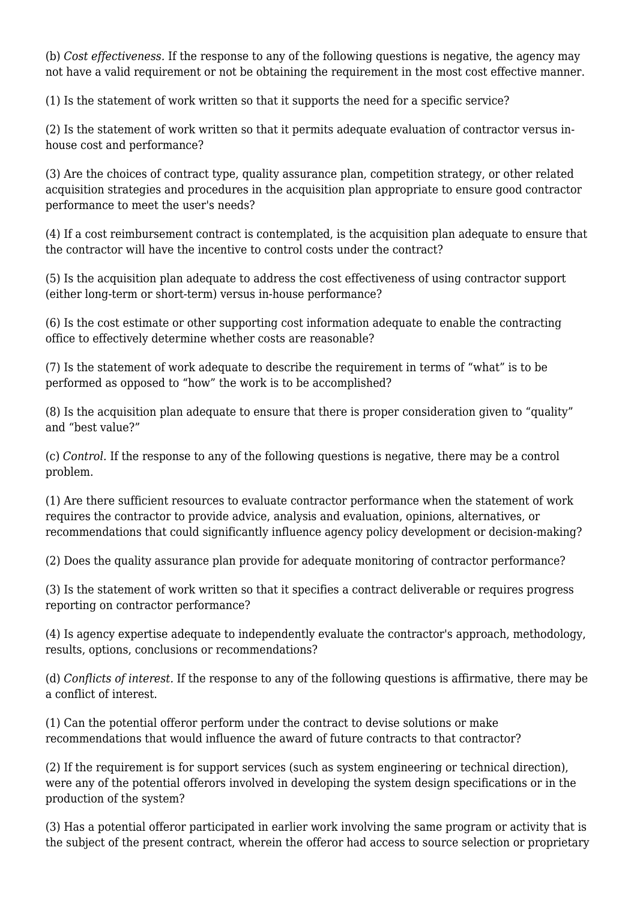(b) *Cost effectiveness.* If the response to any of the following questions is negative, the agency may not have a valid requirement or not be obtaining the requirement in the most cost effective manner.

(1) Is the statement of work written so that it supports the need for a specific service?

(2) Is the statement of work written so that it permits adequate evaluation of contractor versus inhouse cost and performance?

(3) Are the choices of contract type, quality assurance plan, competition strategy, or other related acquisition strategies and procedures in the acquisition plan appropriate to ensure good contractor performance to meet the user's needs?

(4) If a cost reimbursement contract is contemplated, is the acquisition plan adequate to ensure that the contractor will have the incentive to control costs under the contract?

(5) Is the acquisition plan adequate to address the cost effectiveness of using contractor support (either long-term or short-term) versus in-house performance?

(6) Is the cost estimate or other supporting cost information adequate to enable the contracting office to effectively determine whether costs are reasonable?

(7) Is the statement of work adequate to describe the requirement in terms of "what" is to be performed as opposed to "how" the work is to be accomplished?

(8) Is the acquisition plan adequate to ensure that there is proper consideration given to "quality" and "best value?"

(c) *Control.* If the response to any of the following questions is negative, there may be a control problem.

(1) Are there sufficient resources to evaluate contractor performance when the statement of work requires the contractor to provide advice, analysis and evaluation, opinions, alternatives, or recommendations that could significantly influence agency policy development or decision-making?

(2) Does the quality assurance plan provide for adequate monitoring of contractor performance?

(3) Is the statement of work written so that it specifies a contract deliverable or requires progress reporting on contractor performance?

(4) Is agency expertise adequate to independently evaluate the contractor's approach, methodology, results, options, conclusions or recommendations?

(d) *Conflicts of interest.* If the response to any of the following questions is affirmative, there may be a conflict of interest.

(1) Can the potential offeror perform under the contract to devise solutions or make recommendations that would influence the award of future contracts to that contractor?

(2) If the requirement is for support services (such as system engineering or technical direction), were any of the potential offerors involved in developing the system design specifications or in the production of the system?

(3) Has a potential offeror participated in earlier work involving the same program or activity that is the subject of the present contract, wherein the offeror had access to source selection or proprietary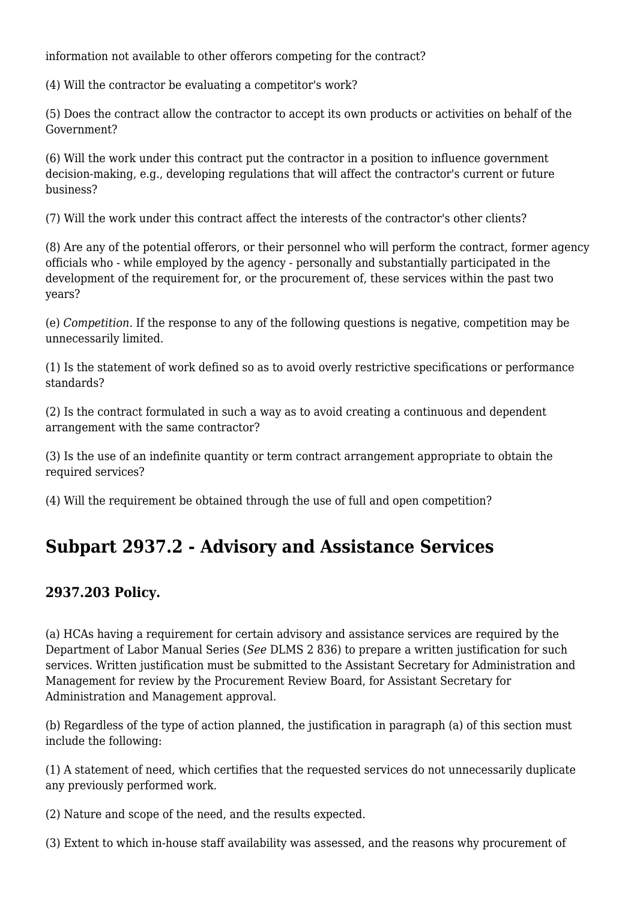information not available to other offerors competing for the contract?

(4) Will the contractor be evaluating a competitor's work?

(5) Does the contract allow the contractor to accept its own products or activities on behalf of the Government?

(6) Will the work under this contract put the contractor in a position to influence government decision-making, e.g., developing regulations that will affect the contractor's current or future business?

(7) Will the work under this contract affect the interests of the contractor's other clients?

(8) Are any of the potential offerors, or their personnel who will perform the contract, former agency officials who - while employed by the agency - personally and substantially participated in the development of the requirement for, or the procurement of, these services within the past two years?

(e) *Competition.* If the response to any of the following questions is negative, competition may be unnecessarily limited.

(1) Is the statement of work defined so as to avoid overly restrictive specifications or performance standards?

(2) Is the contract formulated in such a way as to avoid creating a continuous and dependent arrangement with the same contractor?

(3) Is the use of an indefinite quantity or term contract arrangement appropriate to obtain the required services?

(4) Will the requirement be obtained through the use of full and open competition?

### **Subpart 2937.2 - Advisory and Assistance Services**

#### **2937.203 Policy.**

(a) HCAs having a requirement for certain advisory and assistance services are required by the Department of Labor Manual Series (*See* DLMS 2 836) to prepare a written justification for such services. Written justification must be submitted to the Assistant Secretary for Administration and Management for review by the Procurement Review Board, for Assistant Secretary for Administration and Management approval.

(b) Regardless of the type of action planned, the justification in paragraph (a) of this section must include the following:

(1) A statement of need, which certifies that the requested services do not unnecessarily duplicate any previously performed work.

(2) Nature and scope of the need, and the results expected.

(3) Extent to which in-house staff availability was assessed, and the reasons why procurement of